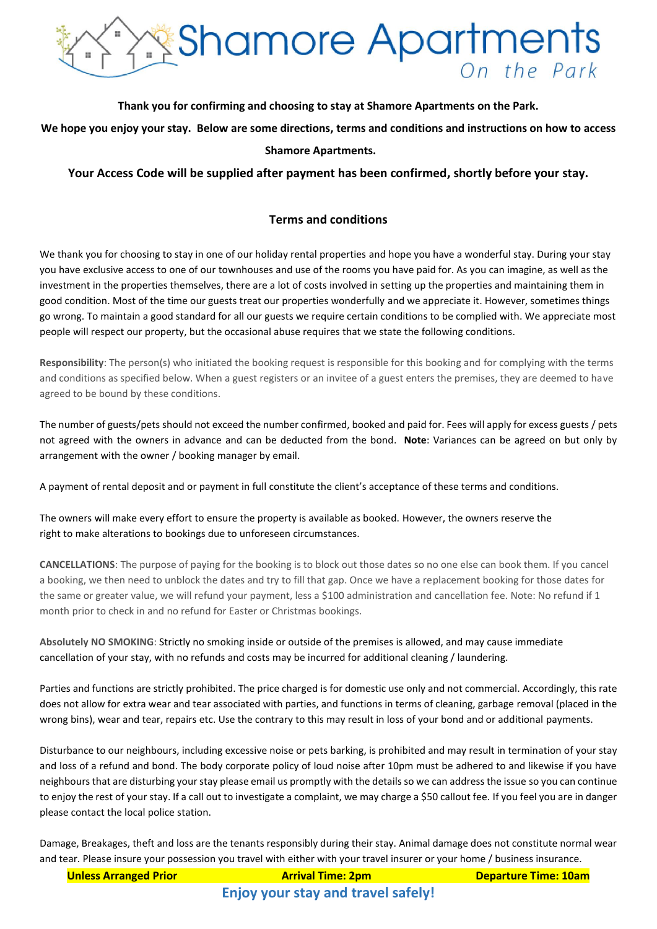

### **Thank you for confirming and choosing to stay at Shamore Apartments on the Park.**

**We hope you enjoy your stay. Below are some directions, terms and conditions and instructions on how to access Shamore Apartments.**

## **Your Access Code will be supplied after payment has been confirmed, shortly before your stay.**

## **Terms and conditions**

We thank you for choosing to stay in one of our holiday rental properties and hope you have a wonderful stay. During your stay you have exclusive access to one of our townhouses and use of the rooms you have paid for. As you can imagine, as well as the investment in the properties themselves, there are a lot of costs involved in setting up the properties and maintaining them in good condition. Most of the time our guests treat our properties wonderfully and we appreciate it. However, sometimes things go wrong. To maintain a good standard for all our guests we require certain conditions to be complied with. We appreciate most people will respect our property, but the occasional abuse requires that we state the following conditions.

**Responsibility**: The person(s) who initiated the booking request is responsible for this booking and for complying with the terms and conditions as specified below. When a guest registers or an invitee of a guest enters the premises, they are deemed to have agreed to be bound by these conditions.

The number of guests/pets should not exceed the number confirmed, booked and paid for. Fees will apply for excess guests / pets not agreed with the owners in advance and can be deducted from the bond. **Note**: Variances can be agreed on but only by arrangement with the owner / booking manager by email.

A payment of rental deposit and or payment in full constitute the client's acceptance of these terms and conditions.

The owners will make every effort to ensure the property is available as booked. However, the owners reserve the right to make alterations to bookings due to unforeseen circumstances.

**CANCELLATIONS**: The purpose of paying for the booking is to block out those dates so no one else can book them. If you cancel a booking, we then need to unblock the dates and try to fill that gap. Once we have a replacement booking for those dates for the same or greater value, we will refund your payment, less a \$100 administration and cancellation fee. Note: No refund if 1 month prior to check in and no refund for Easter or Christmas bookings.

**Absolutely NO SMOKING**: Strictly no smoking inside or outside of the premises is allowed, and may cause immediate cancellation of your stay, with no refunds and costs may be incurred for additional cleaning / laundering.

Parties and functions are strictly prohibited. The price charged is for domestic use only and not commercial. Accordingly, this rate does not allow for extra wear and tear associated with parties, and functions in terms of cleaning, garbage removal (placed in the wrong bins), wear and tear, repairs etc. Use the contrary to this may result in loss of your bond and or additional payments.

Disturbance to our neighbours, including excessive noise or pets barking, is prohibited and may result in termination of your stay and loss of a refund and bond. The body corporate policy of loud noise after 10pm must be adhered to and likewise if you have neighbours that are disturbing your stay please email us promptly with the details so we can address the issue so you can continue to enjoy the rest of your stay. If a call out to investigate a complaint, we may charge a \$50 callout fee. If you feel you are in danger please contact the local police station.

Damage, Breakages, theft and loss are the tenants responsibly during their stay. Animal damage does not constitute normal wear and tear. Please insure your possession you travel with either with your travel insurer or your home / business insurance.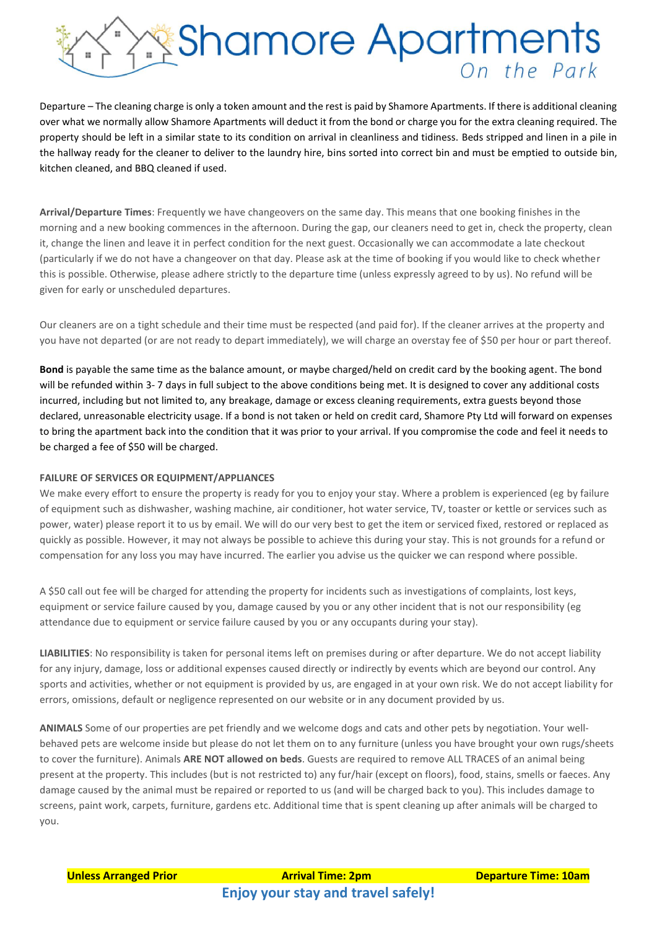

Departure – The cleaning charge is only a token amount and the rest is paid by Shamore Apartments. If there is additional cleaning over what we normally allow Shamore Apartments will deduct it from the bond or charge you for the extra cleaning required. The property should be left in a similar state to its condition on arrival in cleanliness and tidiness. Beds stripped and linen in a pile in the hallway ready for the cleaner to deliver to the laundry hire, bins sorted into correct bin and must be emptied to outside bin, kitchen cleaned, and BBQ cleaned if used.

**Arrival/Departure Times**: Frequently we have changeovers on the same day. This means that one booking finishes in the morning and a new booking commences in the afternoon. During the gap, our cleaners need to get in, check the property, clean it, change the linen and leave it in perfect condition for the next guest. Occasionally we can accommodate a late checkout (particularly if we do not have a changeover on that day. Please ask at the time of booking if you would like to check whether this is possible. Otherwise, please adhere strictly to the departure time (unless expressly agreed to by us). No refund will be given for early or unscheduled departures.

Our cleaners are on a tight schedule and their time must be respected (and paid for). If the cleaner arrives at the property and you have not departed (or are not ready to depart immediately), we will charge an overstay fee of \$50 per hour or part thereof.

**Bond** is payable the same time as the balance amount, or maybe charged/held on credit card by the booking agent. The bond will be refunded within 3- 7 days in full subject to the above conditions being met. It is designed to cover any additional costs incurred, including but not limited to, any breakage, damage or excess cleaning requirements, extra guests beyond those declared, unreasonable electricity usage. If a bond is not taken or held on credit card, Shamore Pty Ltd will forward on expenses to bring the apartment back into the condition that it was prior to your arrival. If you compromise the code and feel it needs to be charged a fee of \$50 will be charged.

#### **FAILURE OF SERVICES OR EQUIPMENT/APPLIANCES**

We make every effort to ensure the property is ready for you to enjoy your stay. Where a problem is experienced (eg by failure of equipment such as dishwasher, washing machine, air conditioner, hot water service, TV, toaster or kettle or services such as power, water) please report it to us by email. We will do our very best to get the item or serviced fixed, restored or replaced as quickly as possible. However, it may not always be possible to achieve this during your stay. This is not grounds for a refund or compensation for any loss you may have incurred. The earlier you advise us the quicker we can respond where possible.

A \$50 call out fee will be charged for attending the property for incidents such as investigations of complaints, lost keys, equipment or service failure caused by you, damage caused by you or any other incident that is not our responsibility (eg attendance due to equipment or service failure caused by you or any occupants during your stay).

**LIABILITIES**: No responsibility is taken for personal items left on premises during or after departure. We do not accept liability for any injury, damage, loss or additional expenses caused directly or indirectly by events which are beyond our control. Any sports and activities, whether or not equipment is provided by us, are engaged in at your own risk. We do not accept liability for errors, omissions, default or negligence represented on our website or in any document provided by us.

**ANIMALS** Some of our properties are pet friendly and we welcome dogs and cats and other pets by negotiation. Your wellbehaved pets are welcome inside but please do not let them on to any furniture (unless you have brought your own rugs/sheets to cover the furniture). Animals **ARE NOT allowed on beds**. Guests are required to remove ALL TRACES of an animal being present at the property. This includes (but is not restricted to) any fur/hair (except on floors), food, stains, smells or faeces. Any damage caused by the animal must be repaired or reported to us (and will be charged back to you). This includes damage to screens, paint work, carpets, furniture, gardens etc. Additional time that is spent cleaning up after animals will be charged to you.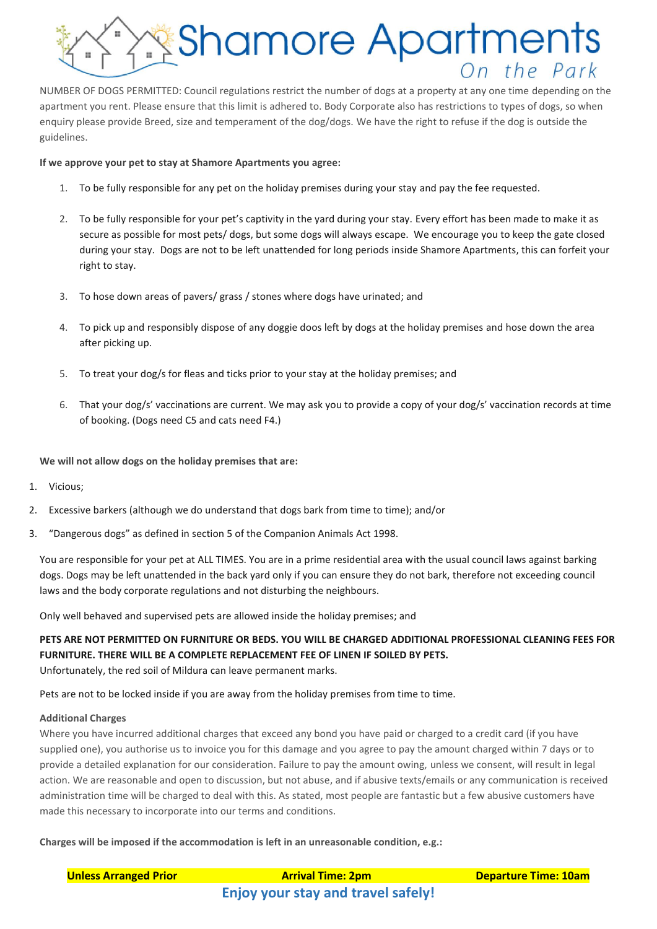

NUMBER OF DOGS PERMITTED: Council regulations restrict the number of dogs at a property at any one time depending on the apartment you rent. Please ensure that this limit is adhered to. Body Corporate also has restrictions to types of dogs, so when enquiry please provide Breed, size and temperament of the dog/dogs. We have the right to refuse if the dog is outside the guidelines.

#### **If we approve your pet to stay at Shamore Apartments you agree:**

- 1. To be fully responsible for any pet on the holiday premises during your stay and pay the fee requested.
- 2. To be fully responsible for your pet's captivity in the yard during your stay. Every effort has been made to make it as secure as possible for most pets/ dogs, but some dogs will always escape. We encourage you to keep the gate closed during your stay. Dogs are not to be left unattended for long periods inside Shamore Apartments, this can forfeit your right to stay.
- 3. To hose down areas of pavers/ grass / stones where dogs have urinated; and
- 4. To pick up and responsibly dispose of any doggie doos left by dogs at the holiday premises and hose down the area after picking up.
- 5. To treat your dog/s for fleas and ticks prior to your stay at the holiday premises; and
- 6. That your dog/s' vaccinations are current. We may ask you to provide a copy of your dog/s' vaccination records at time of booking. (Dogs need C5 and cats need F4.)

**We will not allow dogs on the holiday premises that are:**

- 1. Vicious;
- 2. Excessive barkers (although we do understand that dogs bark from time to time); and/or
- 3. "Dangerous dogs" as defined in section 5 of the Companion Animals Act 1998.

You are responsible for your pet at ALL TIMES. You are in a prime residential area with the usual council laws against barking dogs. Dogs may be left unattended in the back yard only if you can ensure they do not bark, therefore not exceeding council laws and the body corporate regulations and not disturbing the neighbours.

Only well behaved and supervised pets are allowed inside the holiday premises; and

# **PETS ARE NOT PERMITTED ON FURNITURE OR BEDS. YOU WILL BE CHARGED ADDITIONAL PROFESSIONAL CLEANING FEES FOR FURNITURE. THERE WILL BE A COMPLETE REPLACEMENT FEE OF LINEN IF SOILED BY PETS.**

Unfortunately, the red soil of Mildura can leave permanent marks.

Pets are not to be locked inside if you are away from the holiday premises from time to time.

#### **Additional Charges**

Where you have incurred additional charges that exceed any bond you have paid or charged to a credit card (if you have supplied one), you authorise us to invoice you for this damage and you agree to pay the amount charged within 7 days or to provide a detailed explanation for our consideration. Failure to pay the amount owing, unless we consent, will result in legal action. We are reasonable and open to discussion, but not abuse, and if abusive texts/emails or any communication is received administration time will be charged to deal with this. As stated, most people are fantastic but a few abusive customers have made this necessary to incorporate into our terms and conditions.

**Charges will be imposed if the accommodation is left in an unreasonable condition, e.g.:**

| <b>Unless Arranged Prior</b> | <b>Arrival Time: 2pm</b>                  | <b>Departure Time: 10am</b> |
|------------------------------|-------------------------------------------|-----------------------------|
|                              | <b>Enjoy your stay and travel safely!</b> |                             |